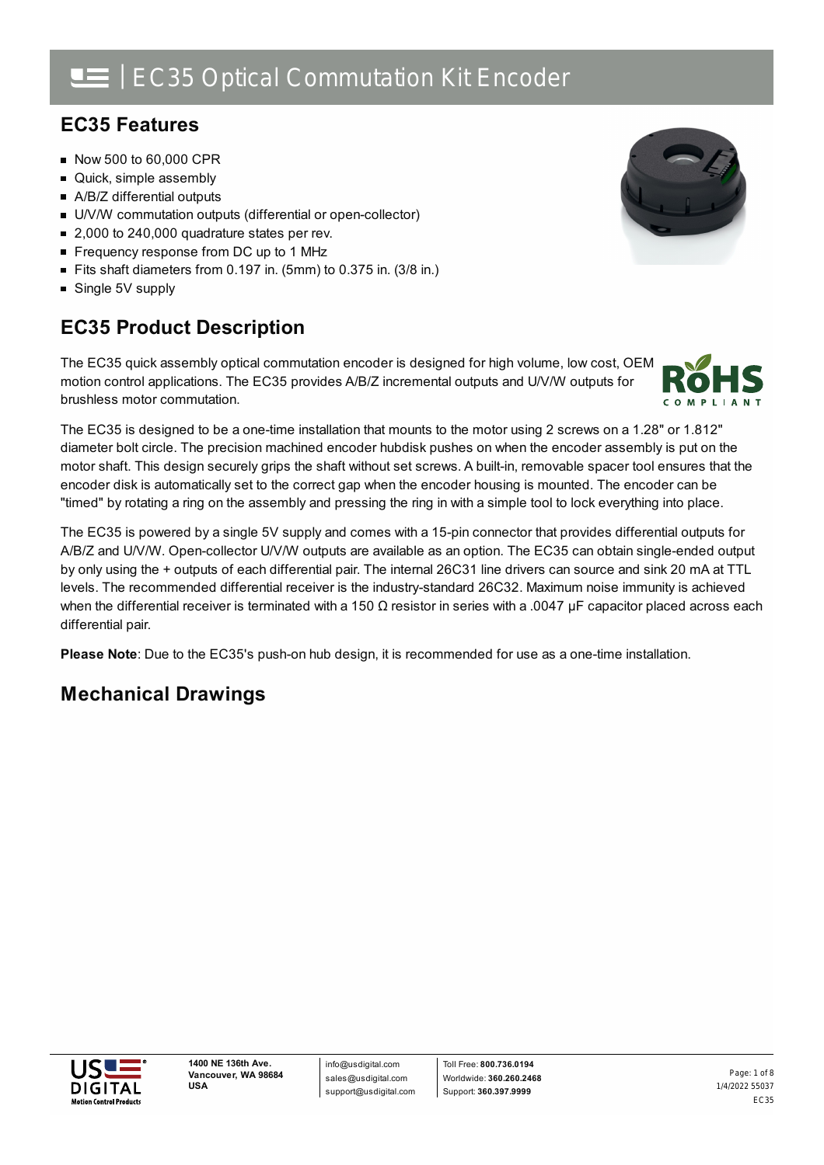## **EC35 Features**

- Now 500 to 60,000 CPR
- Quick, simple assembly
- A/B/Z differential outputs
- U/V/W commutation outputs (differential or open-collector)
- 2,000 to 240,000 quadrature states per rev.
- Frequency response from DC up to 1 MHz
- Fits shaft diameters from 0.197 in. (5mm) to 0.375 in. (3/8 in.)
- Single 5V supply

## **EC35 Product Description**

The EC35 quick assembly optical commutation encoder is designed for high volume, low cost, OEM motion control applications. The EC35 provides A/B/Z incremental outputs and U/V/W outputs for brushless motor commutation.

The EC35 is designed to be a one-time installation that mounts to the motor using 2 screws on a 1.28" or 1.812" diameter bolt circle. The precision machined encoder hubdisk pushes on when the encoder assembly is put on the motor shaft. This design securely grips the shaft without set screws. A built-in, removable spacer tool ensures that the encoder disk is automatically set to the correct gap when the encoder housing is mounted. The encoder can be "timed" by rotating a ring on the assembly and pressing the ring in with a simple tool to lock everything into place.

The EC35 is powered by a single 5V supply and comes with a 15-pin connector that provides differential outputs for A/B/Z and U/V/W. Open-collector U/V/W outputs are available as an option. The EC35 can obtain single-ended output by only using the + outputs of each differential pair. The internal 26C31 line drivers can source and sink 20 mA at TTL levels. The recommended differential receiver is the industry-standard 26C32. Maximum noise immunity is achieved when the differential receiver is terminated with a 150 Ω resistor in series with a .0047 μF capacitor placed across each differential pair.

**Please Note**: Due to the EC35's push-on hub design, it is recommended for use as a one-time installation.

## **Mechanical Drawings**





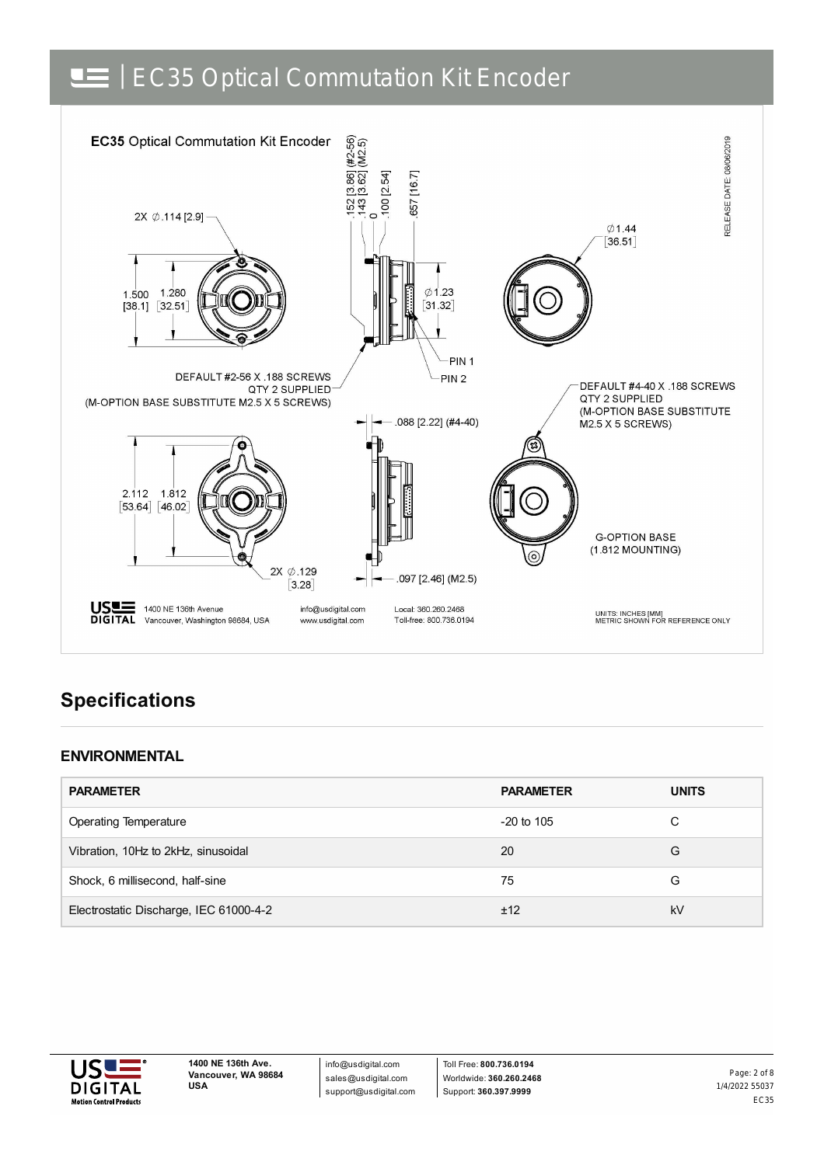## EC35 Optical Commutation Kit Encoder



## **Specifications**

#### **ENVIRONMENTAL**

| <b>PARAMETER</b>                       | <b>PARAMETER</b> | <b>UNITS</b> |
|----------------------------------------|------------------|--------------|
| <b>Operating Temperature</b>           | $-20$ to 105     | С            |
| Vibration, 10Hz to 2kHz, sinusoidal    | 20               | G            |
| Shock, 6 millisecond, half-sine        | 75               | G            |
| Electrostatic Discharge, IEC 61000-4-2 | ±12              | kV           |



info@usdigital.com sales@usdigital.com support@usdigital.com

Toll Free: **800.736.0194** Worldwide: **360.260.2468** Support: **360.397.9999**

1/4/2022 55037 EC35 Page: 2 of 8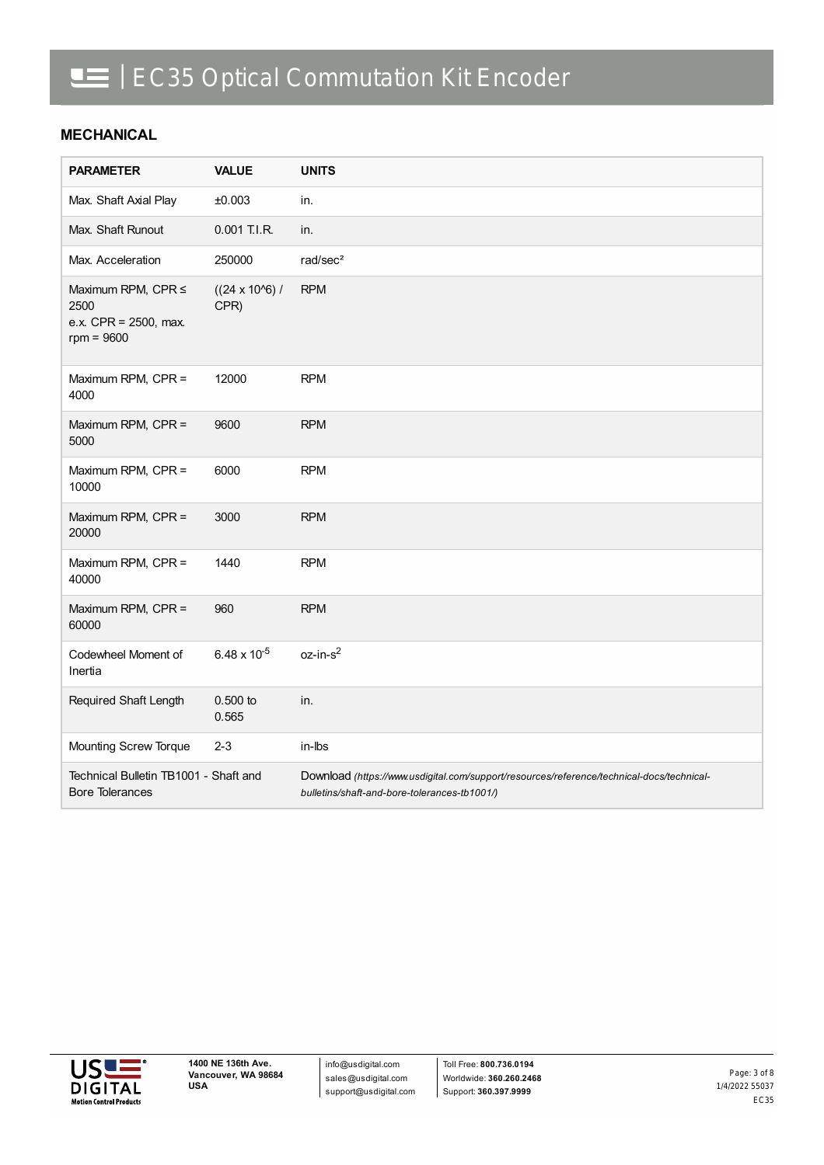# **EDE | EC35 Optical Commutation Kit Encoder**

#### **MECHANICAL**

| <b>PARAMETER</b>                                                    | <b>VALUE</b>                    | <b>UNITS</b>                                                                                                                              |
|---------------------------------------------------------------------|---------------------------------|-------------------------------------------------------------------------------------------------------------------------------------------|
| Max. Shaft Axial Play                                               | ±0.003                          | in.                                                                                                                                       |
| Max. Shaft Runout                                                   | 0.001 T.I.R.                    | in.                                                                                                                                       |
| Max. Acceleration                                                   | 250000                          | rad/sec <sup>2</sup>                                                                                                                      |
| Maximum RPM, CPR ≤<br>2500<br>e.x. CPR = 2500, max.<br>$rpm = 9600$ | $((24 \times 10^{6})$ /<br>CPR) | <b>RPM</b>                                                                                                                                |
| Maximum RPM, CPR =<br>4000                                          | 12000                           | <b>RPM</b>                                                                                                                                |
| Maximum RPM, CPR =<br>5000                                          | 9600                            | <b>RPM</b>                                                                                                                                |
| Maximum RPM, CPR =<br>10000                                         | 6000                            | <b>RPM</b>                                                                                                                                |
| Maximum RPM, CPR =<br>20000                                         | 3000                            | <b>RPM</b>                                                                                                                                |
| Maximum RPM, CPR =<br>40000                                         | 1440                            | <b>RPM</b>                                                                                                                                |
| Maximum RPM, CPR =<br>60000                                         | 960                             | <b>RPM</b>                                                                                                                                |
| Codewheel Moment of<br>Inertia                                      | 6.48 x $10^{-5}$                | $oz-in-s2$                                                                                                                                |
| Required Shaft Length                                               | $0.500$ to<br>0.565             | in.                                                                                                                                       |
| <b>Mounting Screw Torque</b>                                        | $2 - 3$                         | in-lbs                                                                                                                                    |
| Technical Bulletin TB1001 - Shaft and<br><b>Bore Tolerances</b>     |                                 | Download (https://www.usdigital.com/support/resources/reference/technical-docs/technical-<br>bulletins/shaft-and-bore-tolerances-tb1001/) |



info@usdigital.com sales@usdigital.com support@usdigital.com

Toll Free: **800.736.0194** Worldwide: **360.260.2468** Support: **360.397.9999**

1/4/2022 55037 EC35 Page: 3 of 8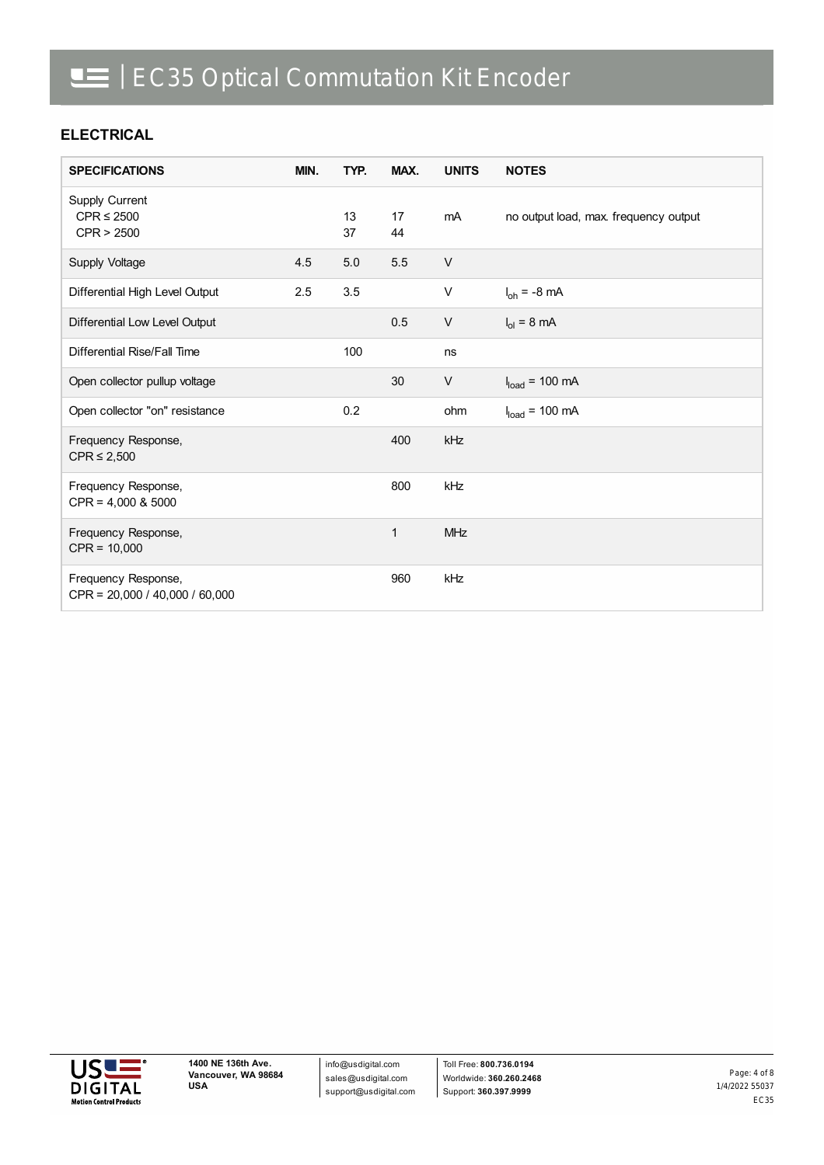#### **ELECTRICAL**

| <b>SPECIFICATIONS</b>                                   | MIN. | TYP.     | MAX.         | <b>UNITS</b> | <b>NOTES</b>                          |
|---------------------------------------------------------|------|----------|--------------|--------------|---------------------------------------|
| Supply Current<br>$CPR \leq 2500$<br>CPR > 2500         |      | 13<br>37 | 17<br>44     | mA           | no output load, max. frequency output |
| Supply Voltage                                          | 4.5  | 5.0      | 5.5          | $\vee$       |                                       |
| Differential High Level Output                          | 2.5  | 3.5      |              | V            | $I_{\text{oh}}$ = -8 mA               |
| Differential Low Level Output                           |      |          | 0.5          | V            | $I_{ol}$ = 8 mA                       |
| Differential Rise/Fall Time                             |      | 100      |              | ns           |                                       |
| Open collector pullup voltage                           |      |          | 30           | V            | $Iload = 100 mA$                      |
| Open collector "on" resistance                          |      | 0.2      |              | ohm          | $I_{load}$ = 100 mA                   |
| Frequency Response,<br>$CPR \leq 2,500$                 |      |          | 400          | kHz          |                                       |
| Frequency Response,<br>$CPR = 4,000$ & 5000             |      |          | 800          | kHz          |                                       |
| Frequency Response,<br>$CPR = 10,000$                   |      |          | $\mathbf{1}$ | <b>MHz</b>   |                                       |
| Frequency Response,<br>$CPR = 20,000 / 40,000 / 60,000$ |      |          | 960          | kHz          |                                       |

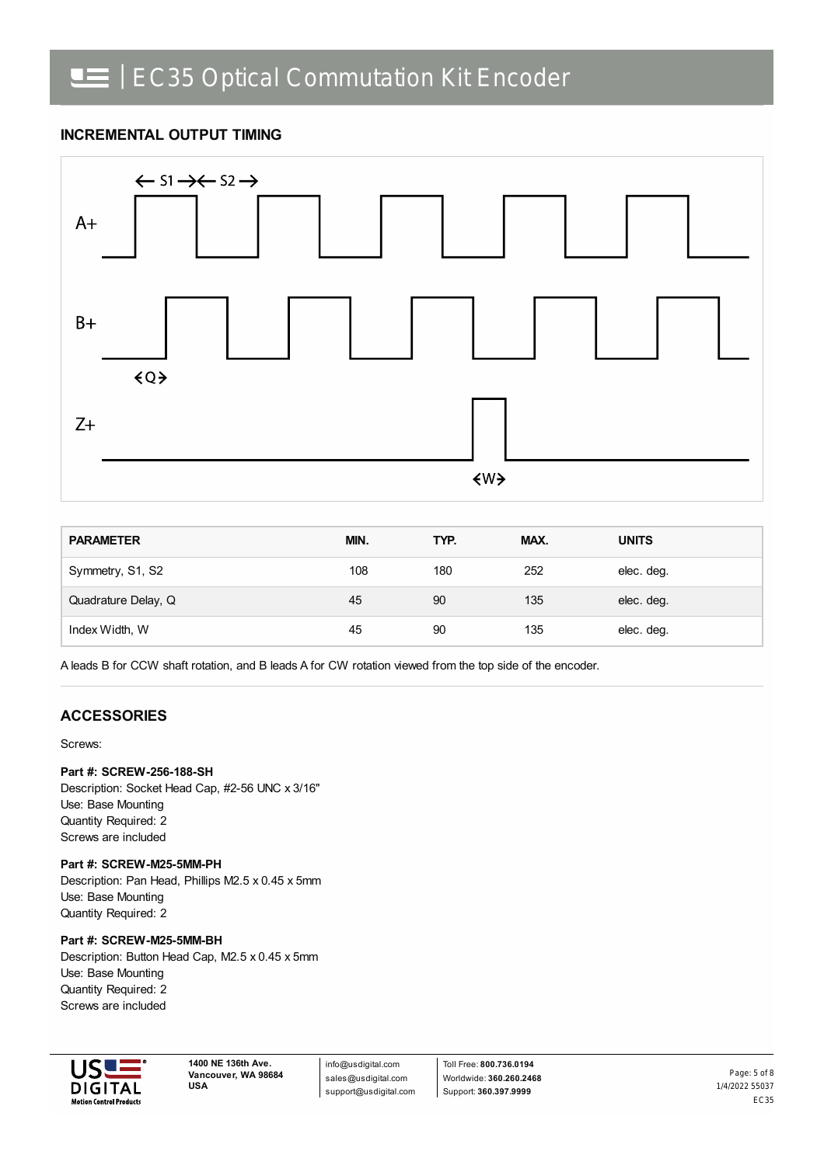## | EC35 Optical Commutation Kit Encoder

#### **INCREMENTAL OUTPUT TIMING**



| <b>PARAMETER</b>    | MIN. | TYP. | MAX. | <b>UNITS</b> |
|---------------------|------|------|------|--------------|
| Symmetry, S1, S2    | 108  | 180  | 252  | elec. deg.   |
| Quadrature Delay, Q | 45   | 90   | 135  | elec. deg.   |
| Index Width, W      | 45   | 90   | 135  | elec. deg.   |

A leads B for CCW shaft rotation, and B leads A for CW rotation viewed from the top side of the encoder.

#### **ACCESSORIES**

#### Screws:

#### **Part #: SCREW-256-188-SH**

Description: Socket Head Cap, #2-56 UNC x 3/16" Use: Base Mounting Quantity Required: 2 Screws are included

#### **Part #: SCREW-M25-5MM-PH**

Description: Pan Head, Phillips M2.5 x 0.45 x 5mm Use: Base Mounting Quantity Required: 2

#### **Part #: SCREW-M25-5MM-BH**

Description: Button Head Cap, M2.5 x 0.45 x 5mm Use: Base Mounting Quantity Required: 2 Screws are included



info@usdigital.com sales@usdigital.com support@usdigital.com

Toll Free: **800.736.0194** Worldwide: **360.260.2468** Support: **360.397.9999**

1/4/2022 55037 EC35 Page: 5 of 8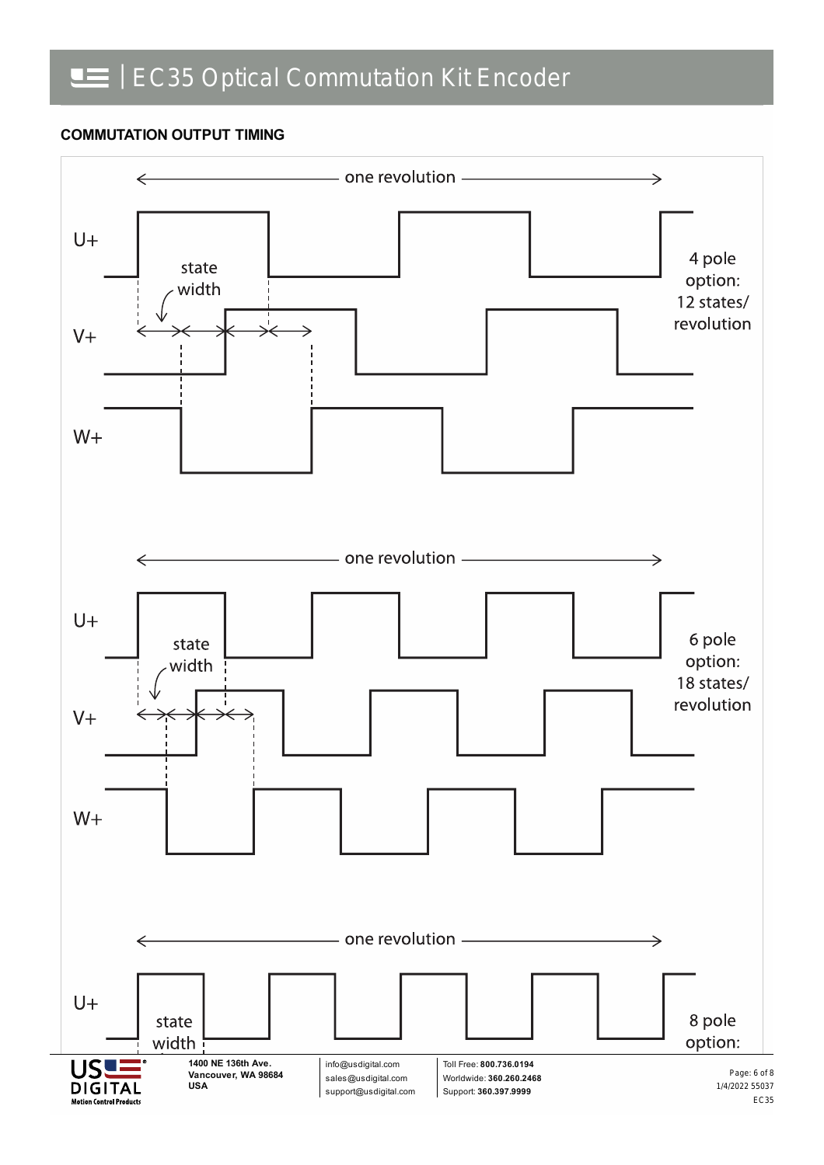#### **COMMUTATION OUTPUT TIMING**

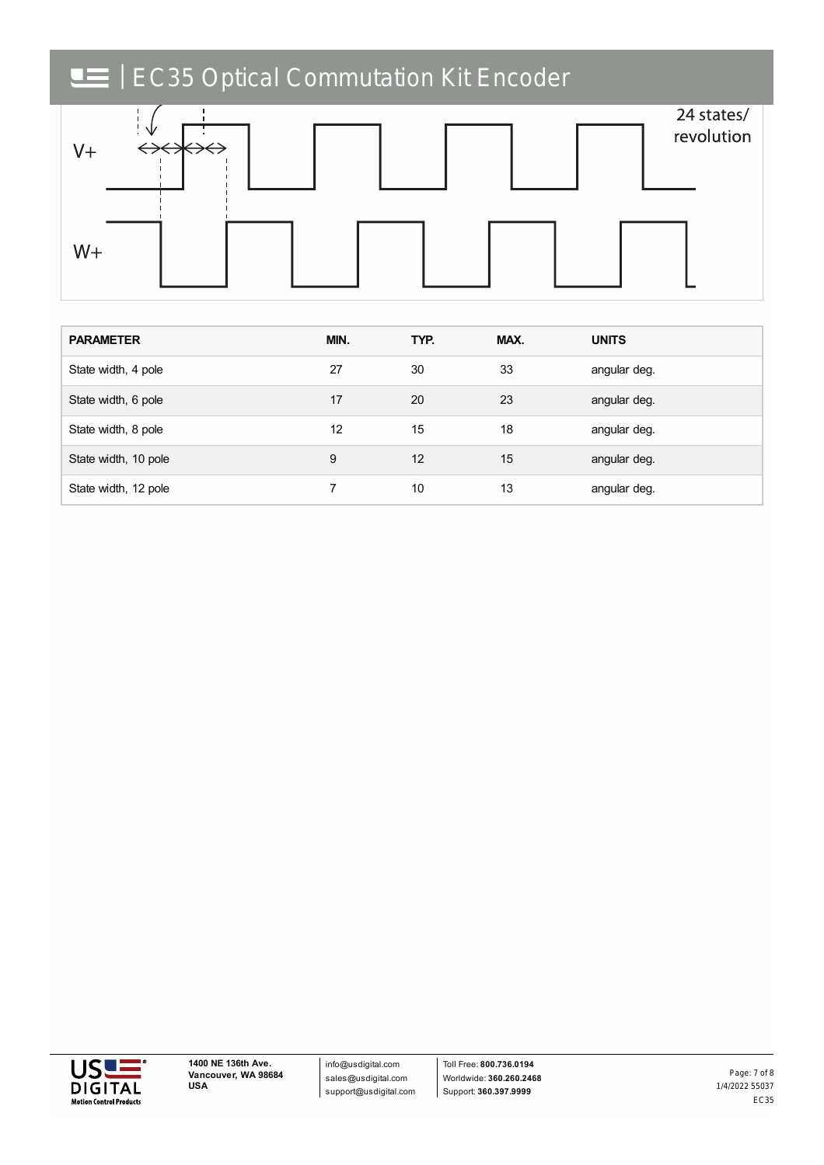# EC35 Optical Commutation Kit Encoder



| <b>PARAMETER</b>     | MIN. | TYP. | MAX. | <b>UNITS</b> |
|----------------------|------|------|------|--------------|
| State width, 4 pole  | 27   | 30   | 33   | angular deg. |
| State width, 6 pole  | 17   | 20   | 23   | angular deg. |
| State width, 8 pole  | 12   | 15   | 18   | angular deg. |
| State width, 10 pole | 9    | 12   | 15   | angular deg. |
| State width, 12 pole |      | 10   | 13   | angular deg. |



info@usdigital.com sales@usdigital.com support@usdigital.com

Toll Free: **800.736.0194** Worldwide: **360.260.2468** Support: **360.397.9999**

1/4/2022 55037 EC35 Page: 7 of 8